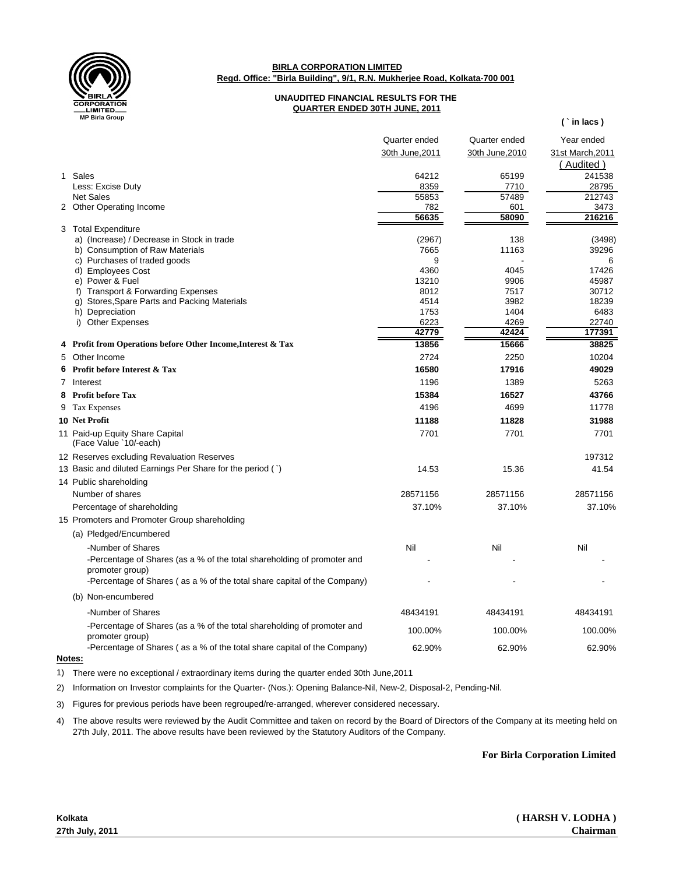

**BIRLA CORPORATION LIMITED Regd. Office: "Birla Building", 9/1, R.N. Mukherjee Road, Kolkata-700 001**

## **UNAUDITED FINANCIAL RESULTS FOR THE QUARTER ENDED 30TH JUNE, 2011**

|   |                                                                          | Quarter ended   | Quarter ended   | Year ended       |
|---|--------------------------------------------------------------------------|-----------------|-----------------|------------------|
|   |                                                                          | 30th June, 2011 | 30th June, 2010 | 31st March, 2011 |
|   |                                                                          |                 |                 | (Audited)        |
|   | 1 Sales                                                                  | 64212           | 65199           | 241538           |
|   | Less: Excise Duty                                                        | 8359            | 7710            | 28795            |
|   | <b>Net Sales</b>                                                         | 55853           | 57489           | 212743           |
|   | 2 Other Operating Income                                                 | 782             | 601             | 3473             |
|   |                                                                          | 56635           | 58090           | 216216           |
|   | 3 Total Expenditure                                                      |                 |                 |                  |
|   | a) (Increase) / Decrease in Stock in trade                               | (2967)          | 138             | (3498)           |
|   | b) Consumption of Raw Materials                                          | 7665            | 11163           | 39296            |
|   | c) Purchases of traded goods                                             | 9               |                 | 6<br>17426       |
|   | d) Employees Cost<br>e) Power & Fuel                                     | 4360<br>13210   | 4045<br>9906    | 45987            |
|   | f) Transport & Forwarding Expenses                                       | 8012            | 7517            | 30712            |
|   | g) Stores, Spare Parts and Packing Materials                             | 4514            | 3982            | 18239            |
|   | h) Depreciation                                                          | 1753            | 1404            | 6483             |
|   | i) Other Expenses                                                        | 6223            | 4269            | 22740            |
|   |                                                                          | 42779           | 42424           | 177391           |
| 4 | Profit from Operations before Other Income, Interest & Tax               | 13856           | 15666           | 38825            |
| 5 | Other Income                                                             | 2724            | 2250            | 10204            |
| 6 | Profit before Interest & Tax                                             | 16580           | 17916           | 49029            |
| 7 | Interest                                                                 | 1196            | 1389            | 5263             |
| 8 | <b>Profit before Tax</b>                                                 | 15384           | 16527           | 43766            |
| 9 | Tax Expenses                                                             | 4196            | 4699            | 11778            |
|   | 10 Net Profit                                                            | 11188           | 11828           | 31988            |
|   | 11 Paid-up Equity Share Capital                                          | 7701            | 7701            | 7701             |
|   | (Face Value `10/-each)                                                   |                 |                 |                  |
|   | 12 Reserves excluding Revaluation Reserves                               |                 |                 | 197312           |
|   | 13 Basic and diluted Earnings Per Share for the period (`)               | 14.53           | 15.36           | 41.54            |
|   | 14 Public shareholding                                                   |                 |                 |                  |
|   | Number of shares                                                         | 28571156        | 28571156        | 28571156         |
|   | Percentage of shareholding                                               | 37.10%          | 37.10%          | 37.10%           |
|   | 15 Promoters and Promoter Group shareholding                             |                 |                 |                  |
|   | (a) Pledged/Encumbered                                                   |                 |                 |                  |
|   | -Number of Shares                                                        | Nil             | Nil             | Nil              |
|   | -Percentage of Shares (as a % of the total shareholding of promoter and  |                 |                 |                  |
|   | promoter group)                                                          |                 |                 |                  |
|   | -Percentage of Shares (as a % of the total share capital of the Company) |                 |                 |                  |
|   | (b) Non-encumbered                                                       |                 |                 |                  |
|   | -Number of Shares                                                        | 48434191        | 48434191        | 48434191         |
|   | -Percentage of Shares (as a % of the total shareholding of promoter and  |                 |                 |                  |
|   | promoter group)                                                          | 100.00%         | 100.00%         | 100.00%          |
|   | -Percentage of Shares (as a % of the total share capital of the Company) | 62.90%          | 62.90%          | 62.90%           |
|   | Notae:                                                                   |                 |                 |                  |

**Notes:**

1) There were no exceptional / extraordinary items during the quarter ended 30th June,2011

2) Information on Investor complaints for the Quarter- (Nos.): Opening Balance-Nil, New-2, Disposal-2, Pending-Nil.

3) Figures for previous periods have been regrouped/re-arranged, wherever considered necessary.

4) The above results were reviewed by the Audit Committee and taken on record by the Board of Directors of the Company at its meeting held on 27th July, 2011. The above results have been reviewed by the Statutory Auditors of the Company.

**For Birla Corporation Limited**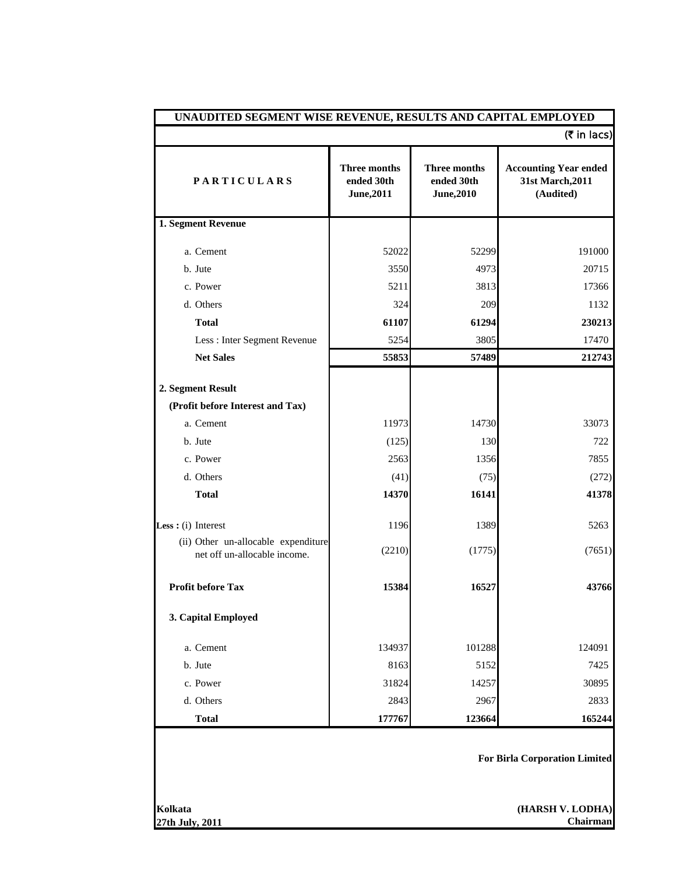|                                                                     |                                          |                                          | $(5$ in lacs)                                                 |  |  |
|---------------------------------------------------------------------|------------------------------------------|------------------------------------------|---------------------------------------------------------------|--|--|
| <b>PARTICULARS</b>                                                  | Three months<br>ended 30th<br>June, 2011 | Three months<br>ended 30th<br>June, 2010 | <b>Accounting Year ended</b><br>31st March, 2011<br>(Audited) |  |  |
| 1. Segment Revenue                                                  |                                          |                                          |                                                               |  |  |
| a. Cement                                                           | 52022                                    | 52299                                    | 191000                                                        |  |  |
| b. Jute                                                             | 3550                                     | 4973                                     | 20715                                                         |  |  |
| c. Power                                                            | 5211                                     | 3813                                     | 17366                                                         |  |  |
| d. Others                                                           | 324                                      | 209                                      | 1132                                                          |  |  |
| <b>Total</b>                                                        | 61107                                    | 61294                                    | 230213                                                        |  |  |
| Less : Inter Segment Revenue                                        | 5254                                     | 3805                                     | 17470                                                         |  |  |
| <b>Net Sales</b>                                                    | 55853                                    | 57489                                    | 212743                                                        |  |  |
| 2. Segment Result<br>(Profit before Interest and Tax)               |                                          |                                          |                                                               |  |  |
| a. Cement                                                           | 11973                                    | 14730                                    | 33073                                                         |  |  |
| b. Jute                                                             | (125)                                    | 130                                      | 722                                                           |  |  |
| c. Power                                                            | 2563                                     | 1356                                     | 7855                                                          |  |  |
| d. Others                                                           | (41)                                     | (75)                                     | (272)                                                         |  |  |
| <b>Total</b>                                                        | 14370                                    | 16141                                    | 41378                                                         |  |  |
| Less : $(i)$ Interest                                               | 1196                                     | 1389                                     | 5263                                                          |  |  |
| (ii) Other un-allocable expenditure<br>net off un-allocable income. | (2210)                                   | (1775)                                   | (7651)                                                        |  |  |
| <b>Profit before Tax</b>                                            | 15384                                    | 16527                                    | 43766                                                         |  |  |
| 3. Capital Employed                                                 |                                          |                                          |                                                               |  |  |
| a. Cement                                                           | 134937                                   | 101288                                   | 124091                                                        |  |  |
| b. Jute                                                             | 8163                                     | 5152                                     | 7425                                                          |  |  |
| c. Power                                                            | 31824                                    | 14257                                    | 30895                                                         |  |  |
| d. Others                                                           | 2843                                     | 2967                                     | 2833                                                          |  |  |
| <b>Total</b>                                                        | 177767                                   | 123664                                   | 165244                                                        |  |  |
|                                                                     | <b>For Birla Corporation Limited</b>     |                                          |                                                               |  |  |
| Kolkata<br>27th July, 2011                                          |                                          |                                          | (HARSH V. LODHA)<br>Chairman                                  |  |  |